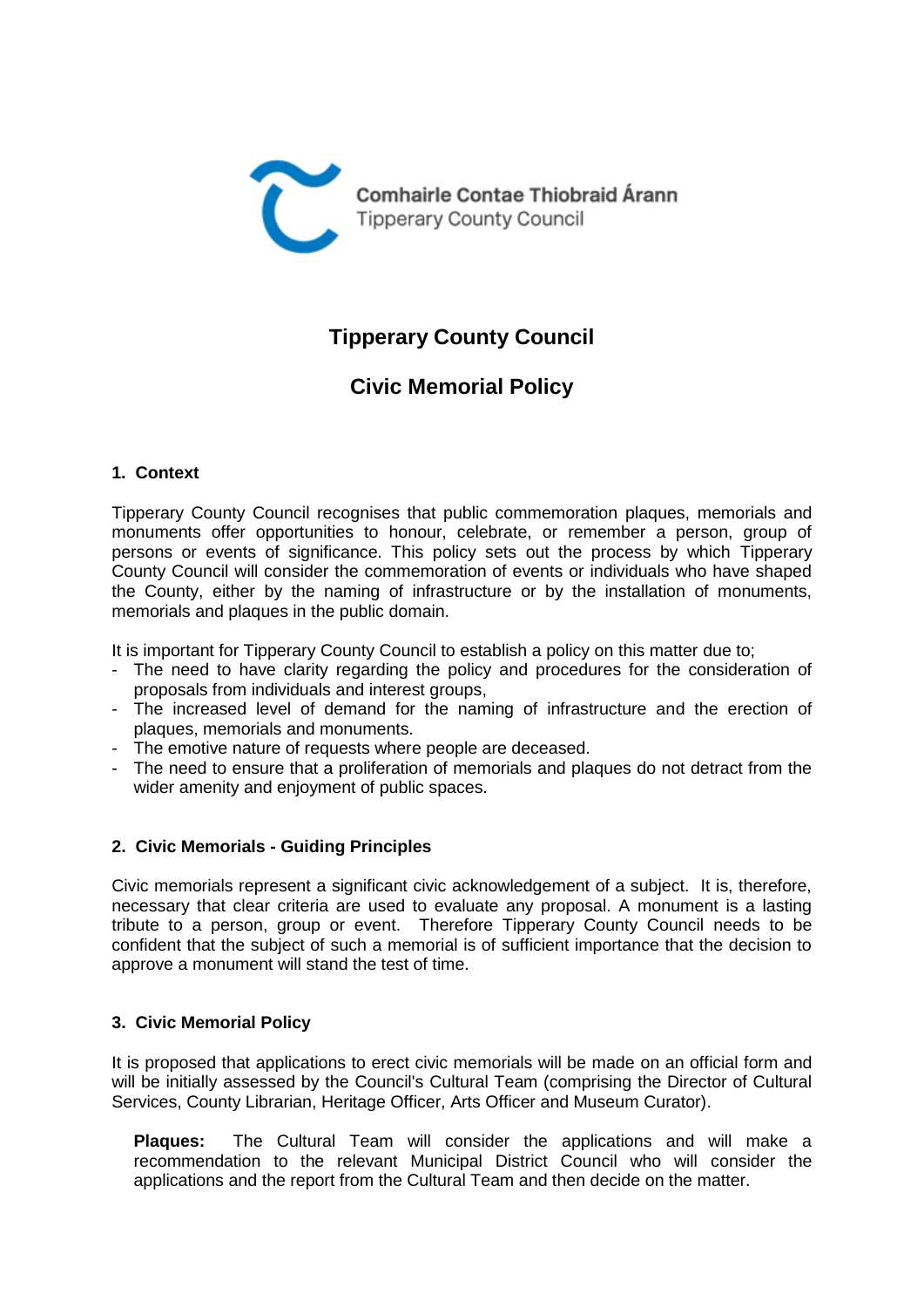

# **Tipperary County Council**

# **Civic Memorial Policy**

## **1. Context**

Tipperary County Council recognises that public commemoration plaques, memorials and monuments offer opportunities to honour, celebrate, or remember a person, group of persons or events of significance. This policy sets out the process by which Tipperary County Council will consider the commemoration of events or individuals who have shaped the County, either by the naming of infrastructure or by the installation of monuments, memorials and plaques in the public domain.

It is important for Tipperary County Council to establish a policy on this matter due to;

- The need to have clarity regarding the policy and procedures for the consideration of proposals from individuals and interest groups,
- The increased level of demand for the naming of infrastructure and the erection of plaques, memorials and monuments.
- The emotive nature of requests where people are deceased.
- The need to ensure that a proliferation of memorials and plaques do not detract from the wider amenity and enjoyment of public spaces.

### **2. Civic Memorials - Guiding Principles**

Civic memorials represent a significant civic acknowledgement of a subject. It is, therefore, necessary that clear criteria are used to evaluate any proposal. A monument is a lasting tribute to a person, group or event. Therefore Tipperary County Council needs to be confident that the subject of such a memorial is of sufficient importance that the decision to approve a monument will stand the test of time.

### **3. Civic Memorial Policy**

It is proposed that applications to erect civic memorials will be made on an official form and will be initially assessed by the Council's Cultural Team (comprising the Director of Cultural Services, County Librarian, Heritage Officer, Arts Officer and Museum Curator).

**Plaques:** The Cultural Team will consider the applications and will make a recommendation to the relevant Municipal District Council who will consider the applications and the report from the Cultural Team and then decide on the matter.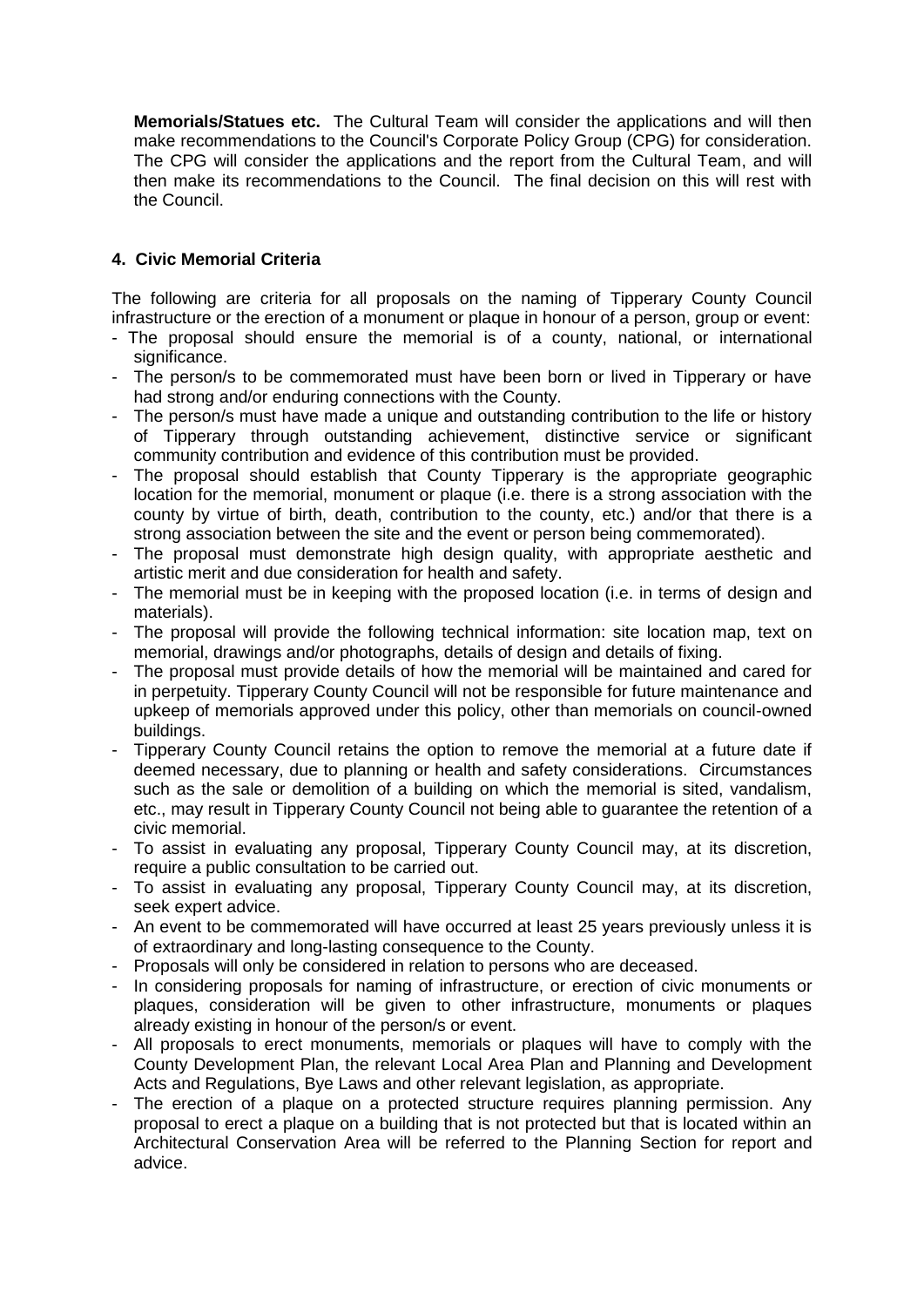**Memorials/Statues etc.** The Cultural Team will consider the applications and will then make recommendations to the Council's Corporate Policy Group (CPG) for consideration. The CPG will consider the applications and the report from the Cultural Team, and will then make its recommendations to the Council. The final decision on this will rest with the Council.

## **4. Civic Memorial Criteria**

The following are criteria for all proposals on the naming of Tipperary County Council infrastructure or the erection of a monument or plaque in honour of a person, group or event:

- The proposal should ensure the memorial is of a county, national, or international significance.
- The person/s to be commemorated must have been born or lived in Tipperary or have had strong and/or enduring connections with the County.
- The person/s must have made a unique and outstanding contribution to the life or history of Tipperary through outstanding achievement, distinctive service or significant community contribution and evidence of this contribution must be provided.
- The proposal should establish that County Tipperary is the appropriate geographic location for the memorial, monument or plaque (i.e. there is a strong association with the county by virtue of birth, death, contribution to the county, etc.) and/or that there is a strong association between the site and the event or person being commemorated).
- The proposal must demonstrate high design quality, with appropriate aesthetic and artistic merit and due consideration for health and safety.
- The memorial must be in keeping with the proposed location (i.e. in terms of design and materials).
- The proposal will provide the following technical information: site location map, text on memorial, drawings and/or photographs, details of design and details of fixing.
- The proposal must provide details of how the memorial will be maintained and cared for in perpetuity. Tipperary County Council will not be responsible for future maintenance and upkeep of memorials approved under this policy, other than memorials on council-owned buildings.
- Tipperary County Council retains the option to remove the memorial at a future date if deemed necessary, due to planning or health and safety considerations. Circumstances such as the sale or demolition of a building on which the memorial is sited, vandalism, etc., may result in Tipperary County Council not being able to guarantee the retention of a civic memorial.
- To assist in evaluating any proposal, Tipperary County Council may, at its discretion, require a public consultation to be carried out.
- To assist in evaluating any proposal, Tipperary County Council may, at its discretion, seek expert advice.
- An event to be commemorated will have occurred at least 25 years previously unless it is of extraordinary and long-lasting consequence to the County.
- Proposals will only be considered in relation to persons who are deceased.
- In considering proposals for naming of infrastructure, or erection of civic monuments or plaques, consideration will be given to other infrastructure, monuments or plaques already existing in honour of the person/s or event.
- All proposals to erect monuments, memorials or plaques will have to comply with the County Development Plan, the relevant Local Area Plan and Planning and Development Acts and Regulations, Bye Laws and other relevant legislation, as appropriate.
- The erection of a plaque on a protected structure requires planning permission. Any proposal to erect a plaque on a building that is not protected but that is located within an Architectural Conservation Area will be referred to the Planning Section for report and advice.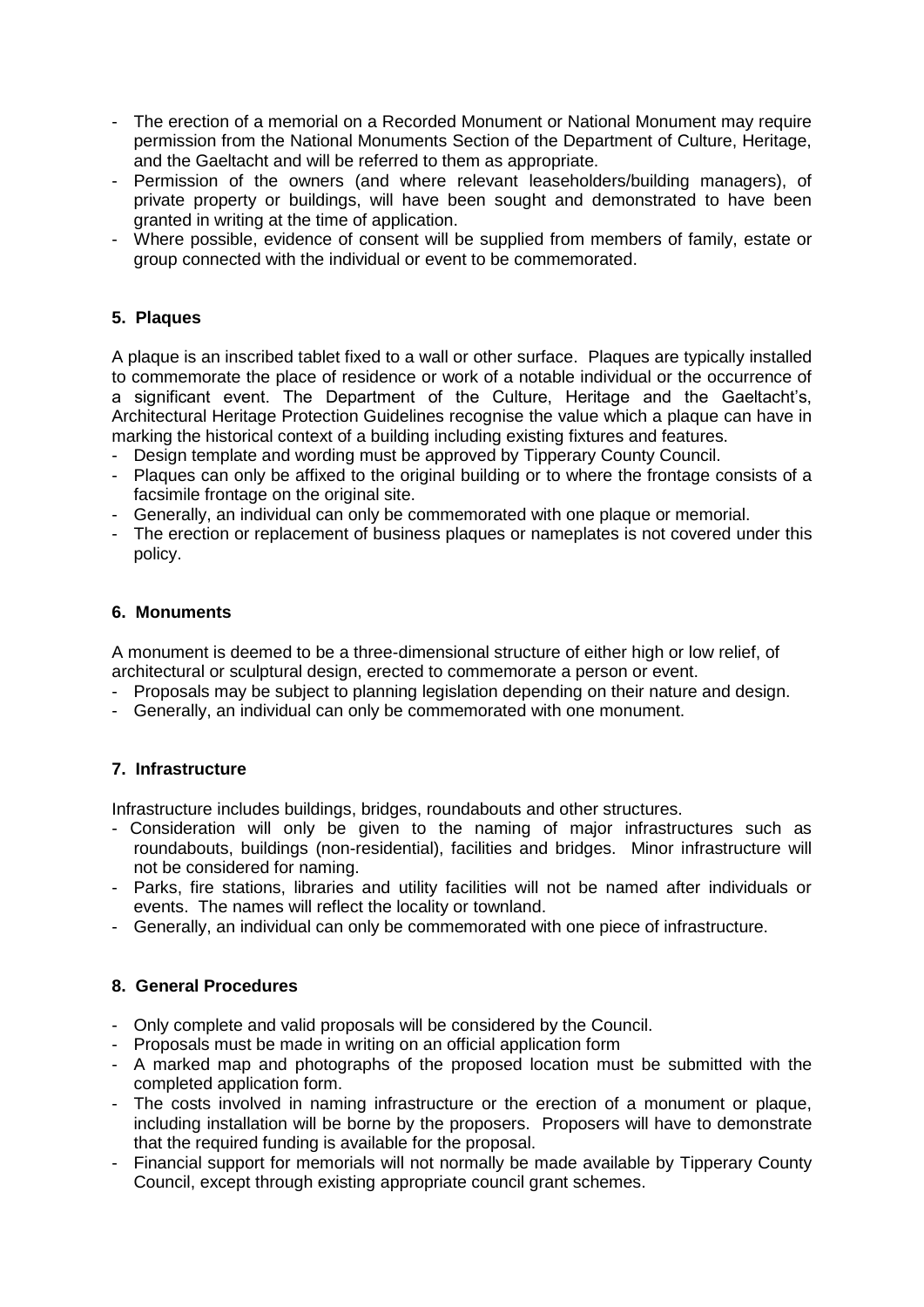- The erection of a memorial on a Recorded Monument or National Monument may require permission from the National Monuments Section of the Department of Culture, Heritage, and the Gaeltacht and will be referred to them as appropriate.
- Permission of the owners (and where relevant leaseholders/building managers), of private property or buildings, will have been sought and demonstrated to have been granted in writing at the time of application.
- Where possible, evidence of consent will be supplied from members of family, estate or group connected with the individual or event to be commemorated.

## **5. Plaques**

A plaque is an inscribed tablet fixed to a wall or other surface. Plaques are typically installed to commemorate the place of residence or work of a notable individual or the occurrence of a significant event. The Department of the Culture, Heritage and the Gaeltacht's, Architectural Heritage Protection Guidelines recognise the value which a plaque can have in marking the historical context of a building including existing fixtures and features.

- Design template and wording must be approved by Tipperary County Council.
- Plaques can only be affixed to the original building or to where the frontage consists of a facsimile frontage on the original site.
- Generally, an individual can only be commemorated with one plaque or memorial.
- The erection or replacement of business plaques or nameplates is not covered under this policy.

### **6. Monuments**

A monument is deemed to be a three-dimensional structure of either high or low relief, of architectural or sculptural design, erected to commemorate a person or event.

- Proposals may be subject to planning legislation depending on their nature and design.
- Generally, an individual can only be commemorated with one monument.

### **7. Infrastructure**

Infrastructure includes buildings, bridges, roundabouts and other structures.

- Consideration will only be given to the naming of major infrastructures such as roundabouts, buildings (non-residential), facilities and bridges. Minor infrastructure will not be considered for naming.
- Parks, fire stations, libraries and utility facilities will not be named after individuals or events. The names will reflect the locality or townland.
- Generally, an individual can only be commemorated with one piece of infrastructure.

## **8. General Procedures**

- Only complete and valid proposals will be considered by the Council.
- Proposals must be made in writing on an official application form
- A marked map and photographs of the proposed location must be submitted with the completed application form.
- The costs involved in naming infrastructure or the erection of a monument or plaque, including installation will be borne by the proposers. Proposers will have to demonstrate that the required funding is available for the proposal.
- Financial support for memorials will not normally be made available by Tipperary County Council, except through existing appropriate council grant schemes.